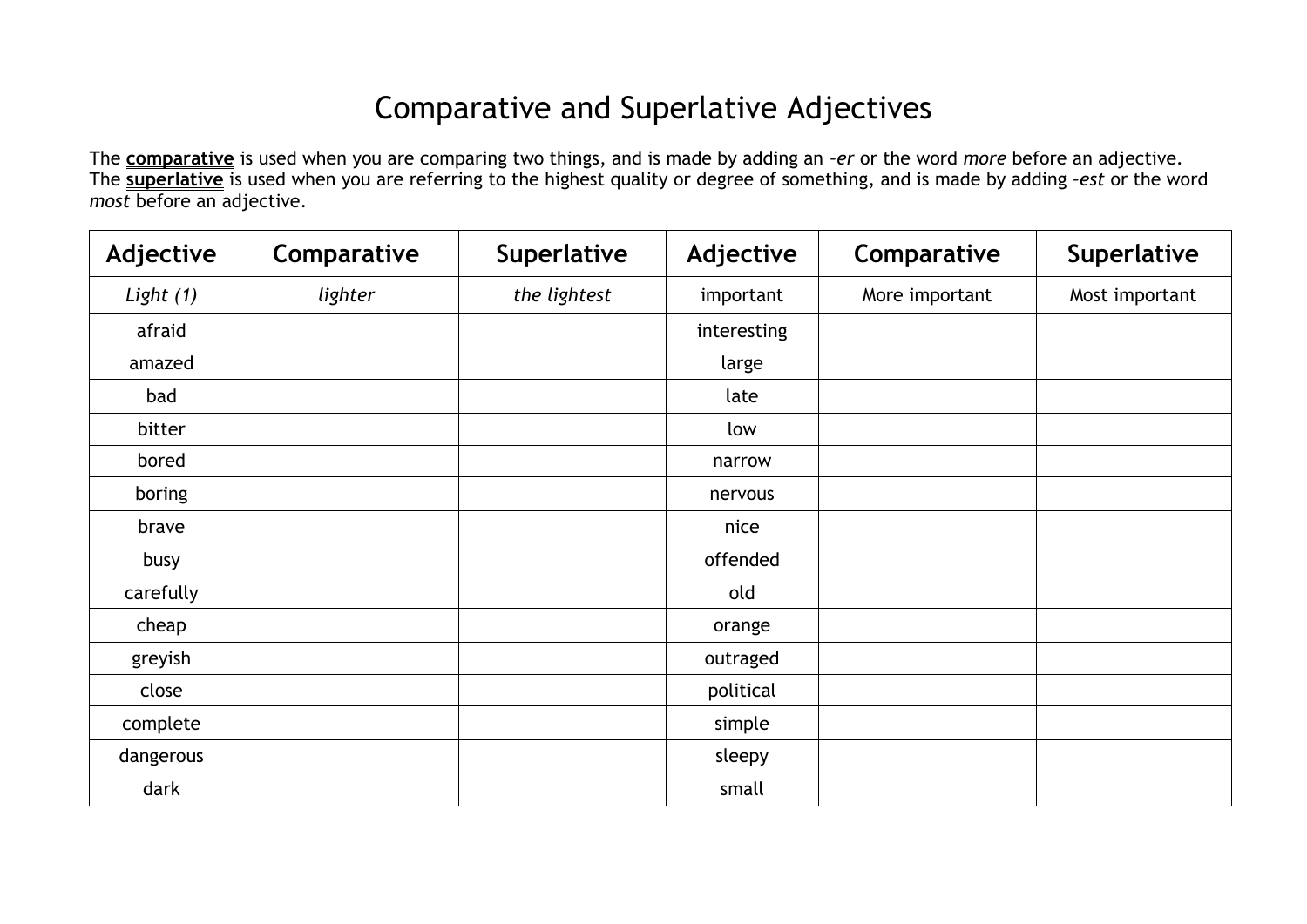## Comparative and Superlative Adjectives

The **comparative** is used when you are comparing two things, and is made by adding an *–er* or the word *more* before an adjective. The **superlative** is used when you are referring to the highest quality or degree of something, and is made by adding *–est* or the word *most* before an adjective.

| Adjective | Comparative | Superlative  | Adjective   | Comparative    | Superlative    |
|-----------|-------------|--------------|-------------|----------------|----------------|
| Light (1) | lighter     | the lightest | important   | More important | Most important |
| afraid    |             |              | interesting |                |                |
| amazed    |             |              | large       |                |                |
| bad       |             |              | late        |                |                |
| bitter    |             |              | low         |                |                |
| bored     |             |              | narrow      |                |                |
| boring    |             |              | nervous     |                |                |
| brave     |             |              | nice        |                |                |
| busy      |             |              | offended    |                |                |
| carefully |             |              | old         |                |                |
| cheap     |             |              | orange      |                |                |
| greyish   |             |              | outraged    |                |                |
| close     |             |              | political   |                |                |
| complete  |             |              | simple      |                |                |
| dangerous |             |              | sleepy      |                |                |
| dark      |             |              | small       |                |                |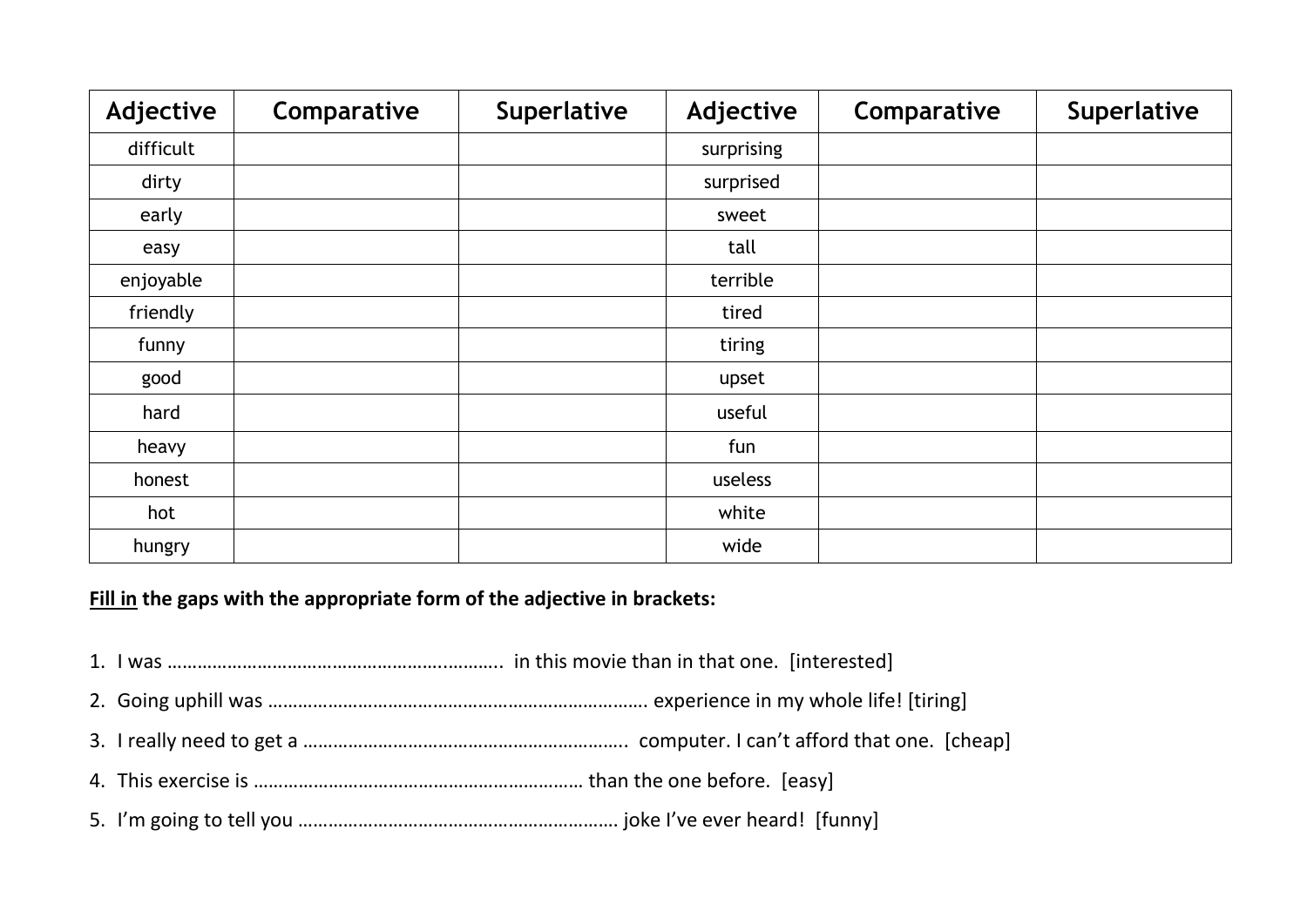| Adjective | Comparative | Superlative | Adjective  | Comparative | <b>Superlative</b> |
|-----------|-------------|-------------|------------|-------------|--------------------|
| difficult |             |             | surprising |             |                    |
| dirty     |             |             | surprised  |             |                    |
| early     |             |             | sweet      |             |                    |
| easy      |             |             | tall       |             |                    |
| enjoyable |             |             | terrible   |             |                    |
| friendly  |             |             | tired      |             |                    |
| funny     |             |             | tiring     |             |                    |
| good      |             |             | upset      |             |                    |
| hard      |             |             | useful     |             |                    |
| heavy     |             |             | fun        |             |                    |
| honest    |             |             | useless    |             |                    |
| hot       |             |             | white      |             |                    |
| hungry    |             |             | wide       |             |                    |

**Fill in the gaps with the appropriate form of the adjective in brackets:**

- 1. I was ………………………………………………..……….. in this movie than in that one. [interested]
- 2. Going uphill was …………………………………………………………………. experience in my whole life! [tiring]
- 3. I really need to get a ……………………………………………………….. computer. I can't afford that one. [cheap]
- 4. This exercise is ………………………………………………………… than the one before. [easy]
- 5. I'm going to tell you ………………………………………………………. joke I've ever heard! [funny]